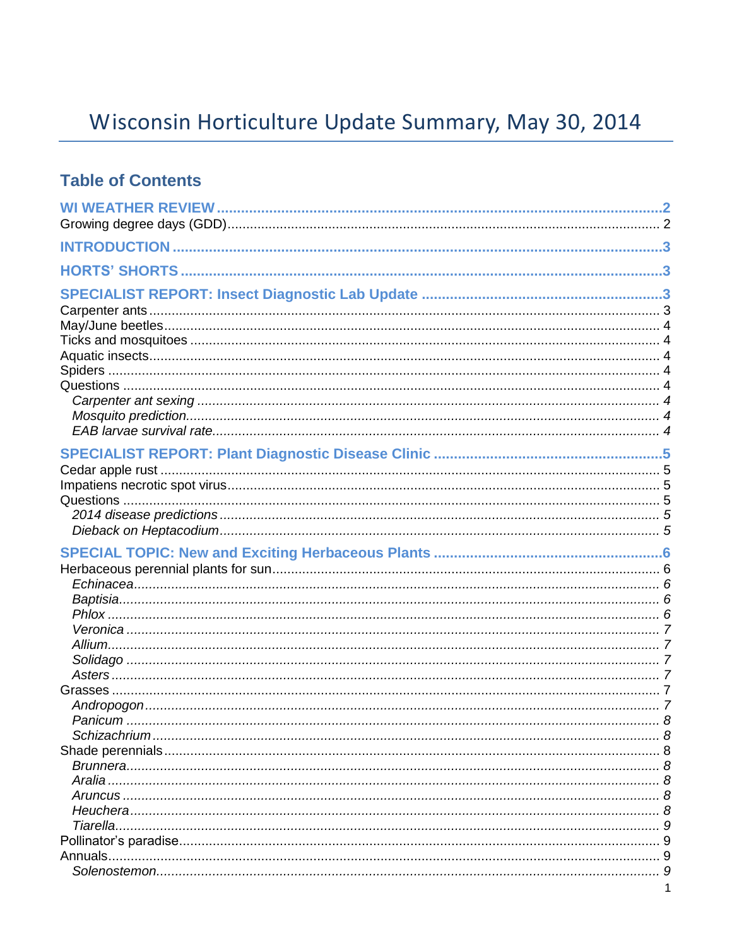# Wisconsin Horticulture Update Summary, May 30, 2014

### **Table of Contents**

| Tiarella. |  |
|-----------|--|
|           |  |
|           |  |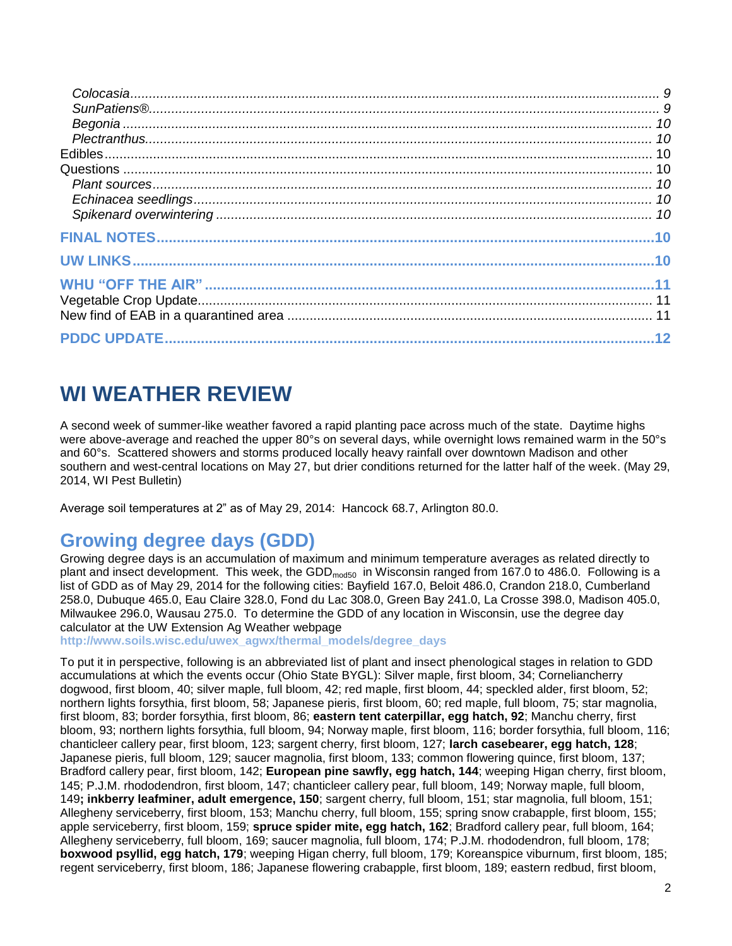## **WI WEATHER REVIEW**

A second week of summer-like weather favored a rapid planting pace across much of the state. Daytime highs were above-average and reached the upper 80°s on several days, while overnight lows remained warm in the 50°s and 60°s. Scattered showers and storms produced locally heavy rainfall over downtown Madison and other southern and west-central locations on May 27, but drier conditions returned for the latter half of the week. (May 29, 2014, WI Pest Bulletin)

Average soil temperatures at 2" as of May 29, 2014: Hancock 68.7, Arlington 80.0.

## **Growing degree days (GDD)**

Growing degree days is an accumulation of maximum and minimum temperature averages as related directly to plant and insect development. This week, the GDD<sub>mod50</sub> in Wisconsin ranged from 167.0 to 486.0. Following is a list of GDD as of May 29, 2014 for the following cities: Bayfield 167.0, Beloit 486.0, Crandon 218.0, Cumberland 258.0, Dubuque 465.0, Eau Claire 328.0, Fond du Lac 308.0, Green Bay 241.0, La Crosse 398.0, Madison 405.0, Milwaukee 296.0, Wausau 275.0. To determine the GDD of any location in Wisconsin, use the degree day calculator at the UW Extension Ag Weather webpage

**[http://www.soils.wisc.edu/uwex\\_agwx/thermal\\_models/degree\\_days](http://www.soils.wisc.edu/uwex_agwx/thermal_models/degree_days)**

To put it in perspective, following is an abbreviated list of plant and insect phenological stages in relation to GDD accumulations at which the events occur (Ohio State BYGL): Silver maple, first bloom, 34; Corneliancherry dogwood, first bloom, 40; silver maple, full bloom, 42; red maple, first bloom, 44; speckled alder, first bloom, 52; northern lights forsythia, first bloom, 58; Japanese pieris, first bloom, 60; red maple, full bloom, 75; star magnolia, first bloom, 83; border forsythia, first bloom, 86; **eastern tent caterpillar, egg hatch, 92**; Manchu cherry, first bloom, 93; northern lights forsythia, full bloom, 94; Norway maple, first bloom, 116; border forsythia, full bloom, 116; chanticleer callery pear, first bloom, 123; sargent cherry, first bloom, 127; **larch casebearer, egg hatch, 128**; Japanese pieris, full bloom, 129; saucer magnolia, first bloom, 133; common flowering quince, first bloom, 137; Bradford callery pear, first bloom, 142; **European pine sawfly, egg hatch, 144**; weeping Higan cherry, first bloom, 145; P.J.M. rhododendron, first bloom, 147; chanticleer callery pear, full bloom, 149; Norway maple, full bloom, 149**; inkberry leafminer, adult emergence, 150**; sargent cherry, full bloom, 151; star magnolia, full bloom, 151; Allegheny serviceberry, first bloom, 153; Manchu cherry, full bloom, 155; spring snow crabapple, first bloom, 155; apple serviceberry, first bloom, 159; **spruce spider mite, egg hatch, 162**; Bradford callery pear, full bloom, 164; Allegheny serviceberry, full bloom, 169; saucer magnolia, full bloom, 174; P.J.M. rhododendron, full bloom, 178; **boxwood psyllid, egg hatch, 179**; weeping Higan cherry, full bloom, 179; Koreanspice viburnum, first bloom, 185; regent serviceberry, first bloom, 186; Japanese flowering crabapple, first bloom, 189; eastern redbud, first bloom,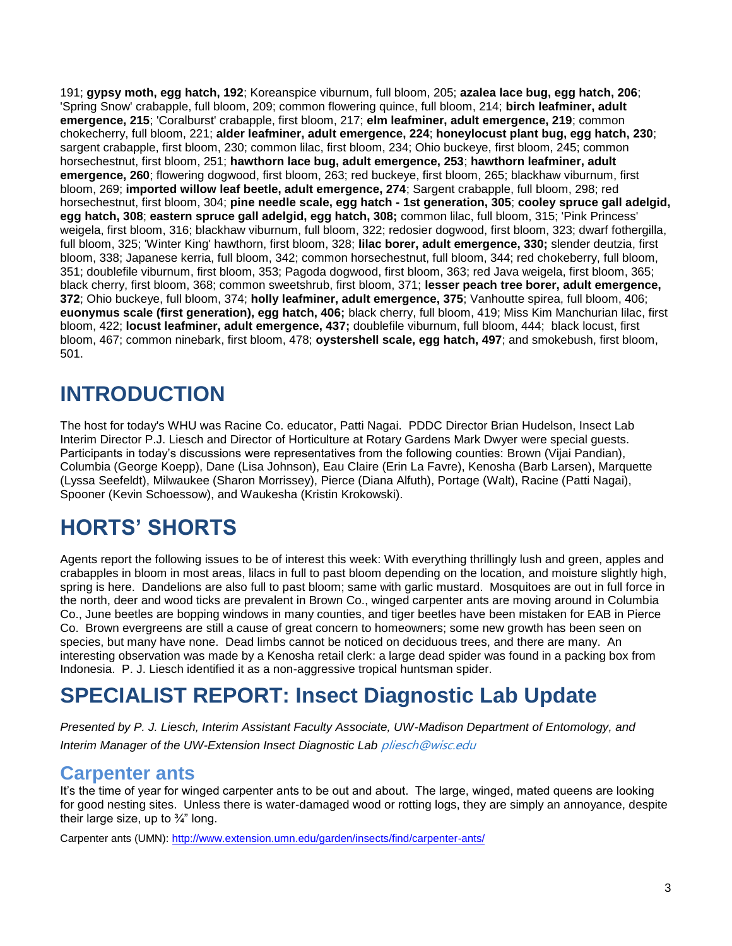191; **gypsy moth, egg hatch, 192**; Koreanspice viburnum, full bloom, 205; **azalea lace bug, egg hatch, 206**; 'Spring Snow' crabapple, full bloom, 209; common flowering quince, full bloom, 214; **birch leafminer, adult emergence, 215**; 'Coralburst' crabapple, first bloom, 217; **elm leafminer, adult emergence, 219**; common chokecherry, full bloom, 221; **alder leafminer, adult emergence, 224**; **honeylocust plant bug, egg hatch, 230**; sargent crabapple, first bloom, 230; common lilac, first bloom, 234; Ohio buckeye, first bloom, 245; common horsechestnut, first bloom, 251; **hawthorn lace bug, adult emergence, 253**; **hawthorn leafminer, adult emergence, 260**; flowering dogwood, first bloom, 263; red buckeye, first bloom, 265; blackhaw viburnum, first bloom, 269; **imported willow leaf beetle, adult emergence, 274**; Sargent crabapple, full bloom, 298; red horsechestnut, first bloom, 304; **pine needle scale, egg hatch - 1st generation, 305**; **cooley spruce gall adelgid, egg hatch, 308**; **eastern spruce gall adelgid, egg hatch, 308;** common lilac, full bloom, 315; 'Pink Princess' weigela, first bloom, 316; blackhaw viburnum, full bloom, 322; redosier dogwood, first bloom, 323; dwarf fothergilla, full bloom, 325; 'Winter King' hawthorn, first bloom, 328; **lilac borer, adult emergence, 330;** slender deutzia, first bloom, 338; Japanese kerria, full bloom, 342; common horsechestnut, full bloom, 344; red chokeberry, full bloom, 351; doublefile viburnum, first bloom, 353; Pagoda dogwood, first bloom, 363; red Java weigela, first bloom, 365; black cherry, first bloom, 368; common sweetshrub, first bloom, 371; **lesser peach tree borer, adult emergence, 372**; Ohio buckeye, full bloom, 374; **holly leafminer, adult emergence, 375**; Vanhoutte spirea, full bloom, 406; **euonymus scale (first generation), egg hatch, 406;** black cherry, full bloom, 419; Miss Kim Manchurian lilac, first bloom, 422; **locust leafminer, adult emergence, 437;** doublefile viburnum, full bloom, 444; black locust, first bloom, 467; common ninebark, first bloom, 478; **oystershell scale, egg hatch, 497**; and smokebush, first bloom, 501.

# **INTRODUCTION**

The host for today's WHU was Racine Co. educator, Patti Nagai. PDDC Director Brian Hudelson, Insect Lab Interim Director P.J. Liesch and Director of Horticulture at Rotary Gardens Mark Dwyer were special guests. Participants in today's discussions were representatives from the following counties: Brown (Vijai Pandian), Columbia (George Koepp), Dane (Lisa Johnson), Eau Claire (Erin La Favre), Kenosha (Barb Larsen), Marquette (Lyssa Seefeldt), Milwaukee (Sharon Morrissey), Pierce (Diana Alfuth), Portage (Walt), Racine (Patti Nagai), Spooner (Kevin Schoessow), and Waukesha (Kristin Krokowski).

# **HORTS' SHORTS**

Agents report the following issues to be of interest this week: With everything thrillingly lush and green, apples and crabapples in bloom in most areas, lilacs in full to past bloom depending on the location, and moisture slightly high, spring is here. Dandelions are also full to past bloom; same with garlic mustard. Mosquitoes are out in full force in the north, deer and wood ticks are prevalent in Brown Co., winged carpenter ants are moving around in Columbia Co., June beetles are bopping windows in many counties, and tiger beetles have been mistaken for EAB in Pierce Co. Brown evergreens are still a cause of great concern to homeowners; some new growth has been seen on species, but many have none. Dead limbs cannot be noticed on deciduous trees, and there are many. An interesting observation was made by a Kenosha retail clerk: a large dead spider was found in a packing box from Indonesia. P. J. Liesch identified it as a non-aggressive tropical huntsman spider.

## **SPECIALIST REPORT: Insect Diagnostic Lab Update**

*Presented by P. J. Liesch, Interim Assistant Faculty Associate, UW-Madison Department of Entomology, and Interim Manager of the UW-Extension Insect Diagnostic Lab* [pliesch@wisc.edu](mailto:pliesch@wisc.edu)

### **Carpenter ants**

It's the time of year for winged carpenter ants to be out and about. The large, winged, mated queens are looking for good nesting sites. Unless there is water-damaged wood or rotting logs, they are simply an annoyance, despite their large size, up to  $\frac{3}{4}$ " long.

Carpenter ants (UMN): http://www.extension.umn.edu/garden/insects/find/carpenter-ants/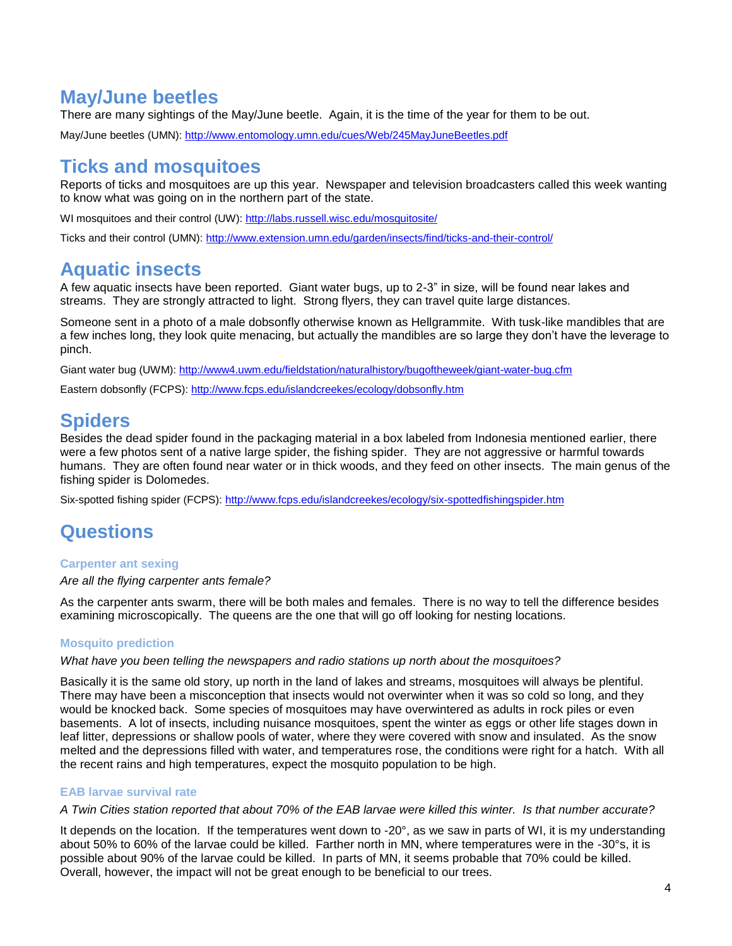### **May/June beetles**

There are many sightings of the May/June beetle. Again, it is the time of the year for them to be out.

May/June beetles (UMN): http://www.entomology.umn.edu/cues/Web/245MayJuneBeetles.pdf

### **Ticks and mosquitoes**

Reports of ticks and mosquitoes are up this year. Newspaper and television broadcasters called this week wanting to know what was going on in the northern part of the state.

WI mosquitoes and their control (UW):<http://labs.russell.wisc.edu/mosquitosite/>

Ticks and their control (UMN):<http://www.extension.umn.edu/garden/insects/find/ticks-and-their-control/>

## **Aquatic insects**

A few aquatic insects have been reported. Giant water bugs, up to 2-3" in size, will be found near lakes and streams. They are strongly attracted to light. Strong flyers, they can travel quite large distances.

Someone sent in a photo of a male dobsonfly otherwise known as Hellgrammite. With tusk-like mandibles that are a few inches long, they look quite menacing, but actually the mandibles are so large they don't have the leverage to pinch.

Giant water bug (UWM):<http://www4.uwm.edu/fieldstation/naturalhistory/bugoftheweek/giant-water-bug.cfm>

Eastern dobsonfly (FCPS):<http://www.fcps.edu/islandcreekes/ecology/dobsonfly.htm>

## **Spiders**

Besides the dead spider found in the packaging material in a box labeled from Indonesia mentioned earlier, there were a few photos sent of a native large spider, the fishing spider. They are not aggressive or harmful towards humans. They are often found near water or in thick woods, and they feed on other insects. The main genus of the fishing spider is Dolomedes.

Six-spotted fishing spider (FCPS):<http://www.fcps.edu/islandcreekes/ecology/six-spottedfishingspider.htm>

## **Questions**

#### **Carpenter ant sexing**

*Are all the flying carpenter ants female?* 

As the carpenter ants swarm, there will be both males and females. There is no way to tell the difference besides examining microscopically. The queens are the one that will go off looking for nesting locations.

#### **Mosquito prediction**

*What have you been telling the newspapers and radio stations up north about the mosquitoes?*

Basically it is the same old story, up north in the land of lakes and streams, mosquitoes will always be plentiful. There may have been a misconception that insects would not overwinter when it was so cold so long, and they would be knocked back. Some species of mosquitoes may have overwintered as adults in rock piles or even basements. A lot of insects, including nuisance mosquitoes, spent the winter as eggs or other life stages down in leaf litter, depressions or shallow pools of water, where they were covered with snow and insulated. As the snow melted and the depressions filled with water, and temperatures rose, the conditions were right for a hatch. With all the recent rains and high temperatures, expect the mosquito population to be high.

#### **EAB larvae survival rate**

#### *A Twin Cities station reported that about 70% of the EAB larvae were killed this winter. Is that number accurate?*

It depends on the location. If the temperatures went down to -20°, as we saw in parts of WI, it is my understanding about 50% to 60% of the larvae could be killed. Farther north in MN, where temperatures were in the -30°s, it is possible about 90% of the larvae could be killed. In parts of MN, it seems probable that 70% could be killed. Overall, however, the impact will not be great enough to be beneficial to our trees.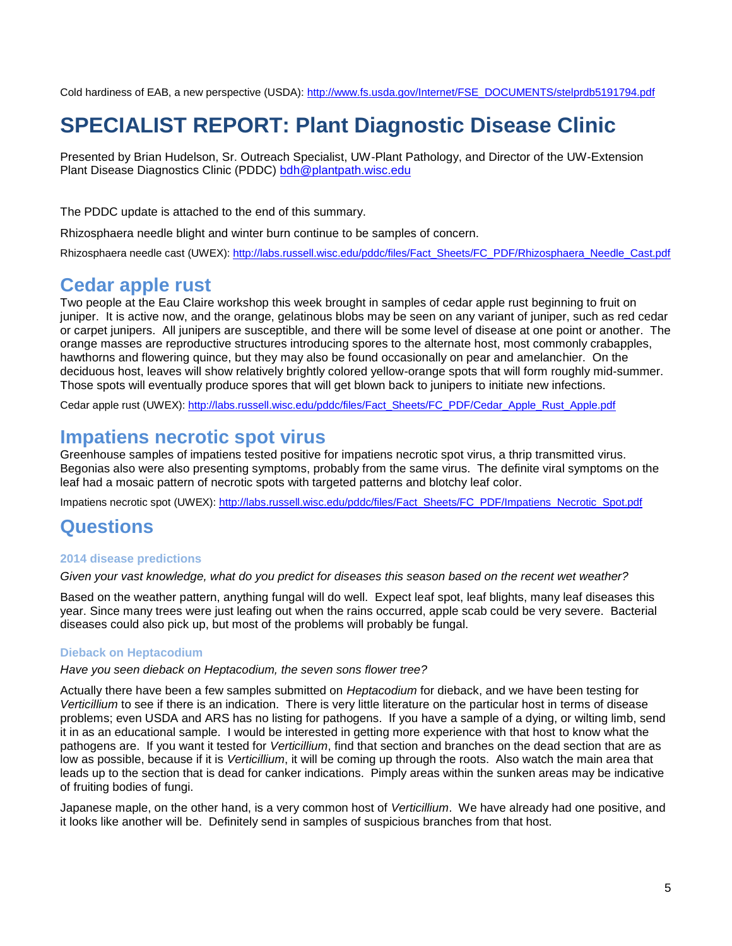Cold hardiness of EAB, a new perspective (USDA): [http://www.fs.usda.gov/Internet/FSE\\_DOCUMENTS/stelprdb5191794.pdf](http://www.fs.usda.gov/Internet/FSE_DOCUMENTS/stelprdb5191794.pdf)

## **SPECIALIST REPORT: Plant Diagnostic Disease Clinic**

Presented by Brian Hudelson, Sr. Outreach Specialist, UW-Plant Pathology, and Director of the UW-Extension Plant Disease Diagnostics Clinic (PDDC) [bdh@plantpath.wisc.edu](mailto:bdh@plantpath.wisc.edu)

The PDDC update is attached to the end of this summary.

Rhizosphaera needle blight and winter burn continue to be samples of concern.

Rhizosphaera needle cast (UWEX): [http://labs.russell.wisc.edu/pddc/files/Fact\\_Sheets/FC\\_PDF/Rhizosphaera\\_Needle\\_Cast.pdf](http://labs.russell.wisc.edu/pddc/files/Fact_Sheets/FC_PDF/Rhizosphaera_Needle_Cast.pdf)

### **Cedar apple rust**

Two people at the Eau Claire workshop this week brought in samples of cedar apple rust beginning to fruit on juniper. It is active now, and the orange, gelatinous blobs may be seen on any variant of juniper, such as red cedar or carpet junipers. All junipers are susceptible, and there will be some level of disease at one point or another. The orange masses are reproductive structures introducing spores to the alternate host, most commonly crabapples, hawthorns and flowering quince, but they may also be found occasionally on pear and amelanchier. On the deciduous host, leaves will show relatively brightly colored yellow-orange spots that will form roughly mid-summer. Those spots will eventually produce spores that will get blown back to junipers to initiate new infections.

Cedar apple rust (UWEX): http://labs.russell.wisc.edu/pddc/files/Fact\_Sheets/FC\_PDF/Cedar\_Apple\_Rust\_Apple.pdf

### **Impatiens necrotic spot virus**

Greenhouse samples of impatiens tested positive for impatiens necrotic spot virus, a thrip transmitted virus. Begonias also were also presenting symptoms, probably from the same virus. The definite viral symptoms on the leaf had a mosaic pattern of necrotic spots with targeted patterns and blotchy leaf color.

Impatiens necrotic spot (UWEX): http://labs.russell.wisc.edu/pddc/files/Fact\_Sheets/FC\_PDF/Impatiens\_Necrotic\_Spot.pdf

### **Questions**

#### **2014 disease predictions**

*Given your vast knowledge, what do you predict for diseases this season based on the recent wet weather?*

Based on the weather pattern, anything fungal will do well. Expect leaf spot, leaf blights, many leaf diseases this year. Since many trees were just leafing out when the rains occurred, apple scab could be very severe. Bacterial diseases could also pick up, but most of the problems will probably be fungal.

#### **Dieback on Heptacodium**

*Have you seen dieback on Heptacodium, the seven sons flower tree?*

Actually there have been a few samples submitted on *Heptacodium* for dieback, and we have been testing for *Verticillium* to see if there is an indication. There is very little literature on the particular host in terms of disease problems; even USDA and ARS has no listing for pathogens. If you have a sample of a dying, or wilting limb, send it in as an educational sample. I would be interested in getting more experience with that host to know what the pathogens are. If you want it tested for *Verticillium*, find that section and branches on the dead section that are as low as possible, because if it is *Verticillium*, it will be coming up through the roots. Also watch the main area that leads up to the section that is dead for canker indications. Pimply areas within the sunken areas may be indicative of fruiting bodies of fungi.

Japanese maple, on the other hand, is a very common host of *Verticillium*. We have already had one positive, and it looks like another will be. Definitely send in samples of suspicious branches from that host.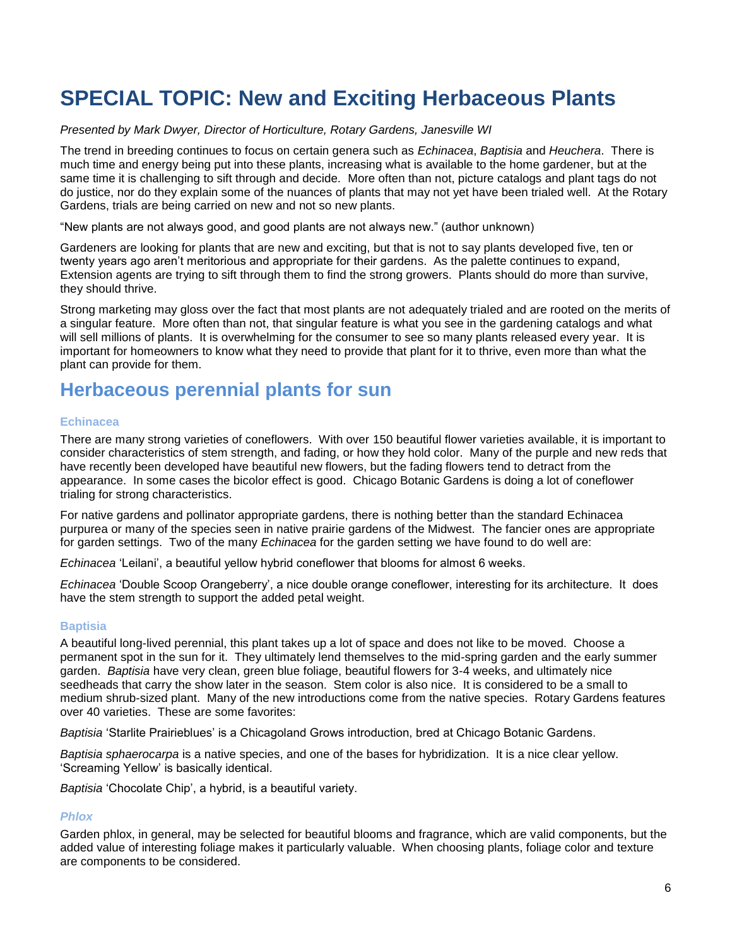## **SPECIAL TOPIC: New and Exciting Herbaceous Plants**

#### *Presented by Mark Dwyer, Director of Horticulture, Rotary Gardens, Janesville WI*

The trend in breeding continues to focus on certain genera such as *Echinacea*, *Baptisia* and *Heuchera*. There is much time and energy being put into these plants, increasing what is available to the home gardener, but at the same time it is challenging to sift through and decide. More often than not, picture catalogs and plant tags do not do justice, nor do they explain some of the nuances of plants that may not yet have been trialed well. At the Rotary Gardens, trials are being carried on new and not so new plants.

"New plants are not always good, and good plants are not always new." (author unknown)

Gardeners are looking for plants that are new and exciting, but that is not to say plants developed five, ten or twenty years ago aren't meritorious and appropriate for their gardens. As the palette continues to expand, Extension agents are trying to sift through them to find the strong growers. Plants should do more than survive, they should thrive.

Strong marketing may gloss over the fact that most plants are not adequately trialed and are rooted on the merits of a singular feature. More often than not, that singular feature is what you see in the gardening catalogs and what will sell millions of plants. It is overwhelming for the consumer to see so many plants released every year. It is important for homeowners to know what they need to provide that plant for it to thrive, even more than what the plant can provide for them.

### **Herbaceous perennial plants for sun**

#### **Echinacea**

There are many strong varieties of coneflowers. With over 150 beautiful flower varieties available, it is important to consider characteristics of stem strength, and fading, or how they hold color. Many of the purple and new reds that have recently been developed have beautiful new flowers, but the fading flowers tend to detract from the appearance. In some cases the bicolor effect is good. Chicago Botanic Gardens is doing a lot of coneflower trialing for strong characteristics.

For native gardens and pollinator appropriate gardens, there is nothing better than the standard Echinacea purpurea or many of the species seen in native prairie gardens of the Midwest. The fancier ones are appropriate for garden settings. Two of the many *Echinacea* for the garden setting we have found to do well are:

*Echinacea* 'Leilani', a beautiful yellow hybrid coneflower that blooms for almost 6 weeks.

*Echinacea* 'Double Scoop Orangeberry', a nice double orange coneflower, interesting for its architecture. It does have the stem strength to support the added petal weight.

#### **Baptisia**

A beautiful long-lived perennial, this plant takes up a lot of space and does not like to be moved. Choose a permanent spot in the sun for it. They ultimately lend themselves to the mid-spring garden and the early summer garden. *Baptisia* have very clean, green blue foliage, beautiful flowers for 3-4 weeks, and ultimately nice seedheads that carry the show later in the season. Stem color is also nice. It is considered to be a small to medium shrub-sized plant. Many of the new introductions come from the native species. Rotary Gardens features over 40 varieties. These are some favorites:

*Baptisia* 'Starlite Prairieblues' is a Chicagoland Grows introduction, bred at Chicago Botanic Gardens.

*Baptisia sphaerocarpa* is a native species, and one of the bases for hybridization. It is a nice clear yellow. 'Screaming Yellow' is basically identical.

*Baptisia* 'Chocolate Chip', a hybrid, is a beautiful variety.

#### *Phlox*

Garden phlox, in general, may be selected for beautiful blooms and fragrance, which are valid components, but the added value of interesting foliage makes it particularly valuable. When choosing plants, foliage color and texture are components to be considered.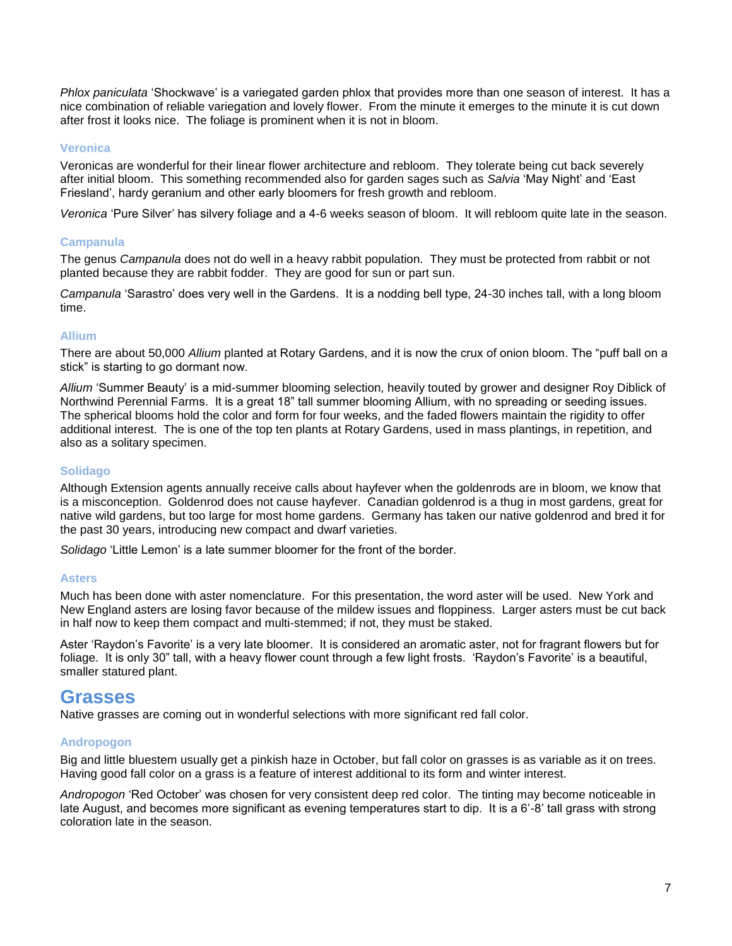*Phlox paniculata* 'Shockwave' is a variegated garden phlox that provides more than one season of interest. It has a nice combination of reliable variegation and lovely flower. From the minute it emerges to the minute it is cut down after frost it looks nice. The foliage is prominent when it is not in bloom.

#### **Veronica**

Veronicas are wonderful for their linear flower architecture and rebloom. They tolerate being cut back severely after initial bloom. This something recommended also for garden sages such as *Salvia* 'May Night' and 'East Friesland', hardy geranium and other early bloomers for fresh growth and rebloom.

*Veronica* 'Pure Silver' has silvery foliage and a 4-6 weeks season of bloom. It will rebloom quite late in the season.

#### **Campanula**

The genus *Campanula* does not do well in a heavy rabbit population. They must be protected from rabbit or not planted because they are rabbit fodder. They are good for sun or part sun.

*Campanula* 'Sarastro' does very well in the Gardens. It is a nodding bell type, 24-30 inches tall, with a long bloom time.

#### **Allium**

There are about 50,000 *Allium* planted at Rotary Gardens, and it is now the crux of onion bloom. The "puff ball on a stick" is starting to go dormant now.

*Allium* 'Summer Beauty' is a mid-summer blooming selection, heavily touted by grower and designer Roy Diblick of Northwind Perennial Farms. It is a great 18" tall summer blooming Allium, with no spreading or seeding issues. The spherical blooms hold the color and form for four weeks, and the faded flowers maintain the rigidity to offer additional interest. The is one of the top ten plants at Rotary Gardens, used in mass plantings, in repetition, and also as a solitary specimen.

#### **Solidago**

Although Extension agents annually receive calls about hayfever when the goldenrods are in bloom, we know that is a misconception. Goldenrod does not cause hayfever. Canadian goldenrod is a thug in most gardens, great for native wild gardens, but too large for most home gardens. Germany has taken our native goldenrod and bred it for the past 30 years, introducing new compact and dwarf varieties.

*Solidago* 'Little Lemon' is a late summer bloomer for the front of the border.

#### **Asters**

Much has been done with aster nomenclature. For this presentation, the word aster will be used. New York and New England asters are losing favor because of the mildew issues and floppiness. Larger asters must be cut back in half now to keep them compact and multi-stemmed; if not, they must be staked.

Aster 'Raydon's Favorite' is a very late bloomer. It is considered an aromatic aster, not for fragrant flowers but for foliage. It is only 30" tall, with a heavy flower count through a few light frosts. 'Raydon's Favorite' is a beautiful, smaller statured plant.

### **Grasses**

Native grasses are coming out in wonderful selections with more significant red fall color.

#### **Andropogon**

Big and little bluestem usually get a pinkish haze in October, but fall color on grasses is as variable as it on trees. Having good fall color on a grass is a feature of interest additional to its form and winter interest.

*Andropogon* 'Red October' was chosen for very consistent deep red color. The tinting may become noticeable in late August, and becomes more significant as evening temperatures start to dip. It is a 6'-8' tall grass with strong coloration late in the season.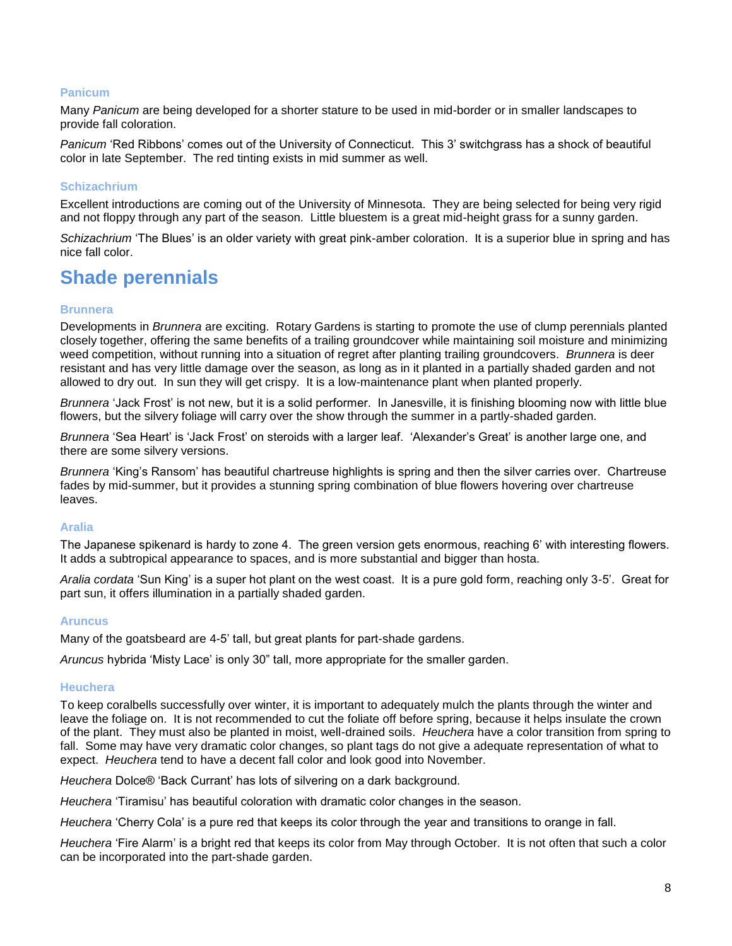#### **Panicum**

Many *Panicum* are being developed for a shorter stature to be used in mid-border or in smaller landscapes to provide fall coloration.

*Panicum* 'Red Ribbons' comes out of the University of Connecticut. This 3' switchgrass has a shock of beautiful color in late September. The red tinting exists in mid summer as well.

#### **Schizachrium**

Excellent introductions are coming out of the University of Minnesota. They are being selected for being very rigid and not floppy through any part of the season. Little bluestem is a great mid-height grass for a sunny garden.

*Schizachrium* 'The Blues' is an older variety with great pink-amber coloration. It is a superior blue in spring and has nice fall color.

### **Shade perennials**

#### **Brunnera**

Developments in *Brunnera* are exciting. Rotary Gardens is starting to promote the use of clump perennials planted closely together, offering the same benefits of a trailing groundcover while maintaining soil moisture and minimizing weed competition, without running into a situation of regret after planting trailing groundcovers. *Brunnera* is deer resistant and has very little damage over the season, as long as in it planted in a partially shaded garden and not allowed to dry out. In sun they will get crispy. It is a low-maintenance plant when planted properly.

*Brunnera* 'Jack Frost' is not new, but it is a solid performer. In Janesville, it is finishing blooming now with little blue flowers, but the silvery foliage will carry over the show through the summer in a partly-shaded garden.

*Brunnera* 'Sea Heart' is 'Jack Frost' on steroids with a larger leaf. 'Alexander's Great' is another large one, and there are some silvery versions.

*Brunnera* 'King's Ransom' has beautiful chartreuse highlights is spring and then the silver carries over. Chartreuse fades by mid-summer, but it provides a stunning spring combination of blue flowers hovering over chartreuse leaves.

#### **Aralia**

The Japanese spikenard is hardy to zone 4. The green version gets enormous, reaching 6' with interesting flowers. It adds a subtropical appearance to spaces, and is more substantial and bigger than hosta.

*Aralia cordata* 'Sun King' is a super hot plant on the west coast. It is a pure gold form, reaching only 3-5'. Great for part sun, it offers illumination in a partially shaded garden.

#### **Aruncus**

Many of the goatsbeard are 4-5' tall, but great plants for part-shade gardens.

*Aruncus* hybrida 'Misty Lace' is only 30" tall, more appropriate for the smaller garden.

#### **Heuchera**

To keep coralbells successfully over winter, it is important to adequately mulch the plants through the winter and leave the foliage on. It is not recommended to cut the foliate off before spring, because it helps insulate the crown of the plant. They must also be planted in moist, well-drained soils. *Heuchera* have a color transition from spring to fall. Some may have very dramatic color changes, so plant tags do not give a adequate representation of what to expect. *Heuchera* tend to have a decent fall color and look good into November.

*Heuchera* Dolce® 'Back Currant' has lots of silvering on a dark background.

*Heuchera* 'Tiramisu' has beautiful coloration with dramatic color changes in the season.

*Heuchera* 'Cherry Cola' is a pure red that keeps its color through the year and transitions to orange in fall.

*Heuchera* 'Fire Alarm' is a bright red that keeps its color from May through October. It is not often that such a color can be incorporated into the part-shade garden.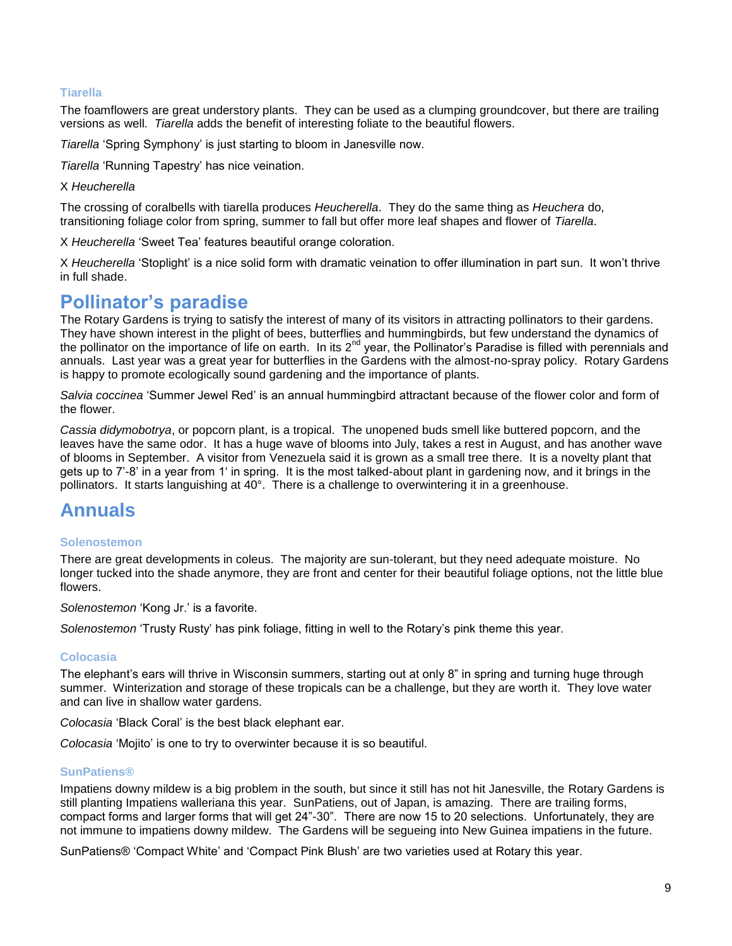#### **Tiarella**

The foamflowers are great understory plants. They can be used as a clumping groundcover, but there are trailing versions as well. *Tiarella* adds the benefit of interesting foliate to the beautiful flowers.

*Tiarella* 'Spring Symphony' is just starting to bloom in Janesville now.

*Tiarella* 'Running Tapestry' has nice veination.

#### X *Heucherella*

The crossing of coralbells with tiarella produces *Heucherella*. They do the same thing as *Heuchera* do, transitioning foliage color from spring, summer to fall but offer more leaf shapes and flower of *Tiarella*.

X *Heucherella* 'Sweet Tea' features beautiful orange coloration.

X *Heucherella* 'Stoplight' is a nice solid form with dramatic veination to offer illumination in part sun. It won't thrive in full shade.

### **Pollinator's paradise**

The Rotary Gardens is trying to satisfy the interest of many of its visitors in attracting pollinators to their gardens. They have shown interest in the plight of bees, butterflies and hummingbirds, but few understand the dynamics of the pollinator on the importance of life on earth. In its  $2^{nd}$  year, the Pollinator's Paradise is filled with perennials and annuals. Last year was a great year for butterflies in the Gardens with the almost-no-spray policy. Rotary Gardens is happy to promote ecologically sound gardening and the importance of plants.

*Salvia coccinea* 'Summer Jewel Red' is an annual hummingbird attractant because of the flower color and form of the flower.

*Cassia didymobotrya*, or popcorn plant, is a tropical. The unopened buds smell like buttered popcorn, and the leaves have the same odor. It has a huge wave of blooms into July, takes a rest in August, and has another wave of blooms in September. A visitor from Venezuela said it is grown as a small tree there. It is a novelty plant that gets up to 7'-8' in a year from 1' in spring. It is the most talked-about plant in gardening now, and it brings in the pollinators. It starts languishing at 40°. There is a challenge to overwintering it in a greenhouse.

### **Annuals**

#### **Solenostemon**

There are great developments in coleus. The majority are sun-tolerant, but they need adequate moisture. No longer tucked into the shade anymore, they are front and center for their beautiful foliage options, not the little blue flowers.

*Solenostemon* 'Kong Jr.' is a favorite.

*Solenostemon* 'Trusty Rusty' has pink foliage, fitting in well to the Rotary's pink theme this year.

#### **Colocasia**

The elephant's ears will thrive in Wisconsin summers, starting out at only 8" in spring and turning huge through summer. Winterization and storage of these tropicals can be a challenge, but they are worth it. They love water and can live in shallow water gardens.

*Colocasia* 'Black Coral' is the best black elephant ear.

*Colocasia* 'Mojito' is one to try to overwinter because it is so beautiful.

#### **SunPatiens®**

Impatiens downy mildew is a big problem in the south, but since it still has not hit Janesville, the Rotary Gardens is still planting Impatiens walleriana this year. SunPatiens, out of Japan, is amazing. There are trailing forms, compact forms and larger forms that will get 24"-30". There are now 15 to 20 selections. Unfortunately, they are not immune to impatiens downy mildew. The Gardens will be segueing into New Guinea impatiens in the future.

SunPatiens® 'Compact White' and 'Compact Pink Blush' are two varieties used at Rotary this year.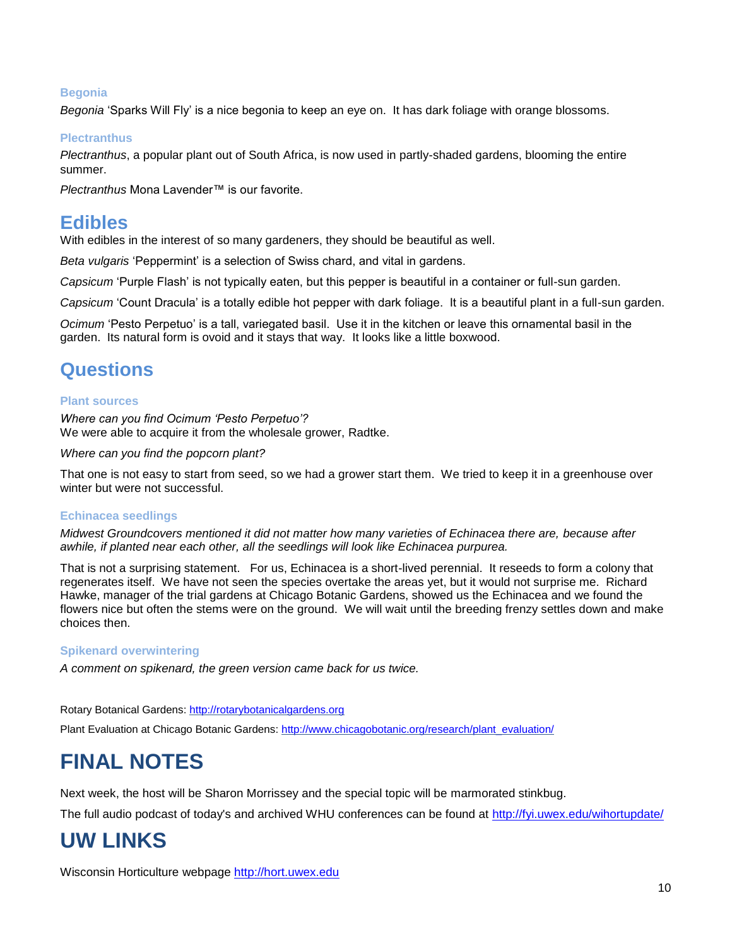#### **Begonia**

*Begonia* 'Sparks Will Fly' is a nice begonia to keep an eye on. It has dark foliage with orange blossoms.

#### **Plectranthus**

*Plectranthus*, a popular plant out of South Africa, is now used in partly-shaded gardens, blooming the entire summer.

*Plectranthus* Mona Lavender™ is our favorite.

### **Edibles**

With edibles in the interest of so many gardeners, they should be beautiful as well.

*Beta vulgaris* 'Peppermint' is a selection of Swiss chard, and vital in gardens.

*Capsicum* 'Purple Flash' is not typically eaten, but this pepper is beautiful in a container or full-sun garden.

*Capsicum* 'Count Dracula' is a totally edible hot pepper with dark foliage. It is a beautiful plant in a full-sun garden.

*Ocimum* 'Pesto Perpetuo' is a tall, variegated basil. Use it in the kitchen or leave this ornamental basil in the garden. Its natural form is ovoid and it stays that way. It looks like a little boxwood.

### **Questions**

#### **Plant sources**

*Where can you find Ocimum 'Pesto Perpetuo'?* We were able to acquire it from the wholesale grower, Radtke.

*Where can you find the popcorn plant?*

That one is not easy to start from seed, so we had a grower start them. We tried to keep it in a greenhouse over winter but were not successful.

#### **Echinacea seedlings**

*Midwest Groundcovers mentioned it did not matter how many varieties of Echinacea there are, because after awhile, if planted near each other, all the seedlings will look like Echinacea purpurea.*

That is not a surprising statement. For us, Echinacea is a short-lived perennial. It reseeds to form a colony that regenerates itself. We have not seen the species overtake the areas yet, but it would not surprise me. Richard Hawke, manager of the trial gardens at Chicago Botanic Gardens, showed us the Echinacea and we found the flowers nice but often the stems were on the ground. We will wait until the breeding frenzy settles down and make choices then.

#### **Spikenard overwintering**

*A comment on spikenard, the green version came back for us twice.*

Rotary Botanical Gardens[: http://rotarybotanicalgardens.org](http://rotarybotanicalgardens.org/)

Plant Evaluation at Chicago Botanic Gardens[: http://www.chicagobotanic.org/research/plant\\_evaluation/](http://www.chicagobotanic.org/research/plant_evaluation/)

## **FINAL NOTES**

Next week, the host will be Sharon Morrissey and the special topic will be marmorated stinkbug.

The full audio podcast of today's and archived WHU conferences can be found at<http://fyi.uwex.edu/wihortupdate/>

## **UW LINKS**

Wisconsin Horticulture webpage [http://hort.uwex.edu](http://hort.uwex.edu/)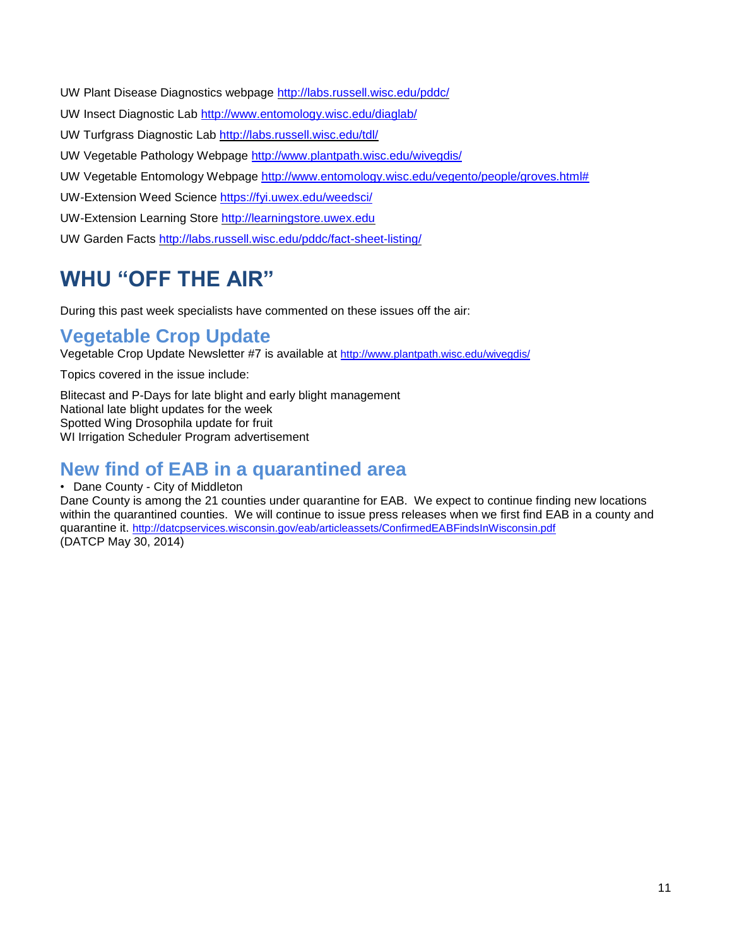UW Plant Disease Diagnostics webpage <http://labs.russell.wisc.edu/pddc/>

- UW Insect Diagnostic Lab<http://www.entomology.wisc.edu/diaglab/>
- UW Turfgrass Diagnostic Lab<http://labs.russell.wisc.edu/tdl/>
- UW Vegetable Pathology Webpage<http://www.plantpath.wisc.edu/wivegdis/>
- UW Vegetable Entomology Webpage [http://www.entomology.wisc.edu/vegento/people/groves.html#](http://www.entomology.wisc.edu/vegento/people/groves.html%23)
- UW-Extension Weed Science https://fyi.uwex.edu/weedsci/
- UW-Extension Learning Store [http://learningstore.uwex.edu](http://learningstore.uwex.edu/)
- UW Garden Facts <http://labs.russell.wisc.edu/pddc/fact-sheet-listing/>

## **WHU "OFF THE AIR"**

During this past week specialists have commented on these issues off the air:

### **Vegetable Crop Update**

Vegetable Crop Update Newsletter #7 is available at http://www.plantpath.wisc.edu/wivegdis/

Topics covered in the issue include:

Blitecast and P-Days for late blight and early blight management National late blight updates for the week Spotted Wing Drosophila update for fruit WI Irrigation Scheduler Program advertisement

### **New find of EAB in a quarantined area**

#### • Dane County - City of Middleton

Dane County is among the 21 counties under quarantine for EAB. We expect to continue finding new locations within the quarantined counties. We will continue to issue press releases when we first find EAB in a county and quarantine it. http://datcpservices.wisconsin.gov/eab/articleassets/ConfirmedEABFindsInWisconsin.pdf (DATCP May 30, 2014)